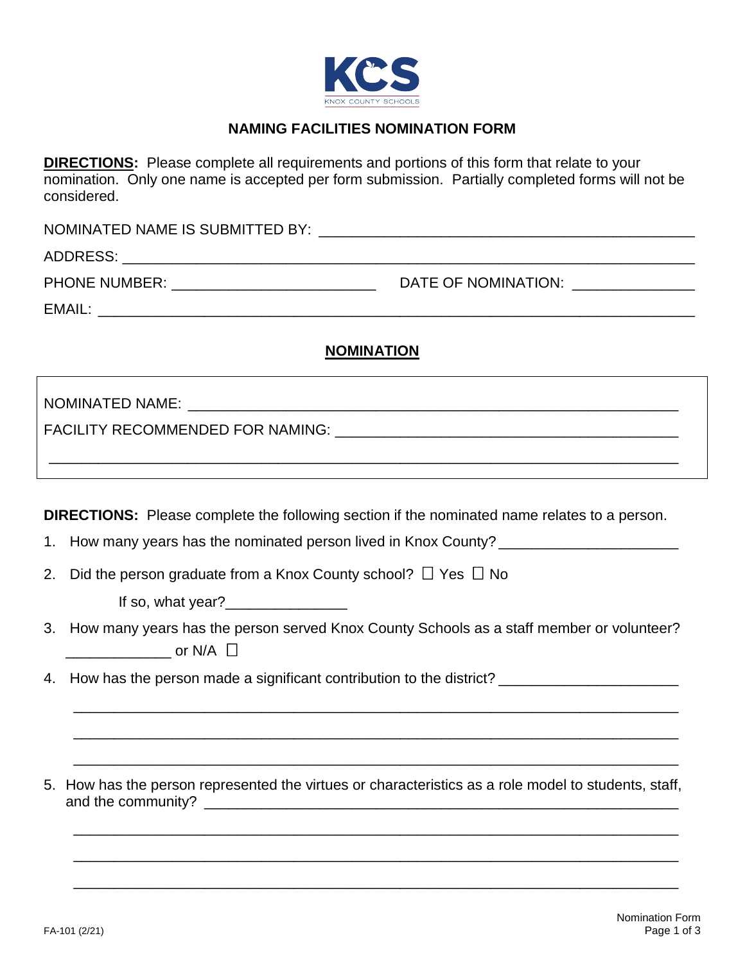

## **NAMING FACILITIES NOMINATION FORM**

**DIRECTIONS:** Please complete all requirements and portions of this form that relate to your nomination. Only one name is accepted per form submission. Partially completed forms will not be considered.

| NOMINATED NAME IS SUBMITTED BY: |                     |
|---------------------------------|---------------------|
| ADDRESS:                        |                     |
| <b>PHONE NUMBER:</b>            | DATE OF NOMINATION: |
| EMAIL:                          |                     |

## **NOMINATION**

FACILITY RECOMMENDED FOR NAMING: THE SECOMMENT OF STATISTICS.

**DIRECTIONS:** Please complete the following section if the nominated name relates to a person.

\_\_\_\_\_\_\_\_\_\_\_\_\_\_\_\_\_\_\_\_\_\_\_\_\_\_\_\_\_\_\_\_\_\_\_\_\_\_\_\_\_\_\_\_\_\_\_\_\_\_\_\_\_\_\_\_\_\_\_\_\_\_\_\_\_\_\_\_\_\_\_\_\_\_\_\_\_

- 1. How many years has the nominated person lived in Knox County?
- 2. Did the person graduate from a Knox County school?  $\Box$  Yes  $\Box$  No

If so, what year?\_\_\_\_\_\_\_\_\_\_\_\_\_\_\_

3. How many years has the person served Knox County Schools as a staff member or volunteer?  $\Box$  or N/A  $\Box$ 

\_\_\_\_\_\_\_\_\_\_\_\_\_\_\_\_\_\_\_\_\_\_\_\_\_\_\_\_\_\_\_\_\_\_\_\_\_\_\_\_\_\_\_\_\_\_\_\_\_\_\_\_\_\_\_\_\_\_\_\_\_\_\_\_\_\_\_\_\_\_\_\_\_\_

\_\_\_\_\_\_\_\_\_\_\_\_\_\_\_\_\_\_\_\_\_\_\_\_\_\_\_\_\_\_\_\_\_\_\_\_\_\_\_\_\_\_\_\_\_\_\_\_\_\_\_\_\_\_\_\_\_\_\_\_\_\_\_\_\_\_\_\_\_\_\_\_\_\_

\_\_\_\_\_\_\_\_\_\_\_\_\_\_\_\_\_\_\_\_\_\_\_\_\_\_\_\_\_\_\_\_\_\_\_\_\_\_\_\_\_\_\_\_\_\_\_\_\_\_\_\_\_\_\_\_\_\_\_\_\_\_\_\_\_\_\_\_\_\_\_\_\_\_

\_\_\_\_\_\_\_\_\_\_\_\_\_\_\_\_\_\_\_\_\_\_\_\_\_\_\_\_\_\_\_\_\_\_\_\_\_\_\_\_\_\_\_\_\_\_\_\_\_\_\_\_\_\_\_\_\_\_\_\_\_\_\_\_\_\_\_\_\_\_\_\_\_\_

\_\_\_\_\_\_\_\_\_\_\_\_\_\_\_\_\_\_\_\_\_\_\_\_\_\_\_\_\_\_\_\_\_\_\_\_\_\_\_\_\_\_\_\_\_\_\_\_\_\_\_\_\_\_\_\_\_\_\_\_\_\_\_\_\_\_\_\_\_\_\_\_\_\_

\_\_\_\_\_\_\_\_\_\_\_\_\_\_\_\_\_\_\_\_\_\_\_\_\_\_\_\_\_\_\_\_\_\_\_\_\_\_\_\_\_\_\_\_\_\_\_\_\_\_\_\_\_\_\_\_\_\_\_\_\_\_\_\_\_\_\_\_\_\_\_\_\_\_

- 4. How has the person made a significant contribution to the district? \_\_\_\_\_\_\_\_\_\_\_\_\_\_\_
- 5. How has the person represented the virtues or characteristics as a role model to students, staff, and the community?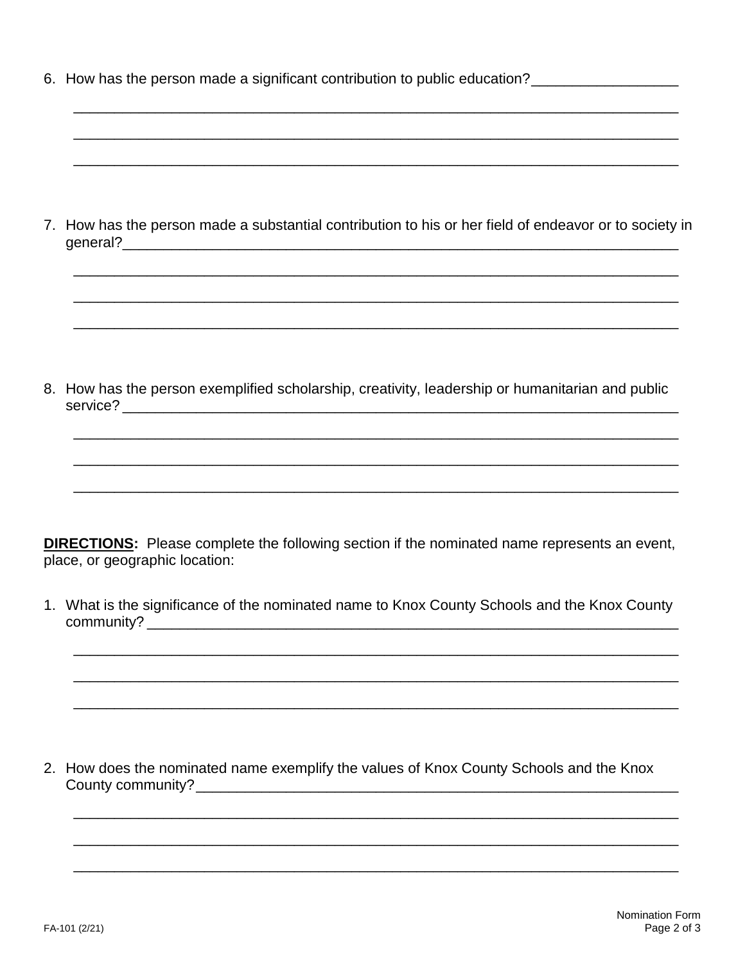|  | 6. How has the person made a significant contribution to public education? |  |
|--|----------------------------------------------------------------------------|--|
|  |                                                                            |  |

| 7. How has the person made a substantial contribution to his or her field of endeavor or to society in |
|--------------------------------------------------------------------------------------------------------|
| general?                                                                                               |

8. How has the person exemplified scholarship, creativity, leadership or humanitarian and public 

**DIRECTIONS:** Please complete the following section if the nominated name represents an event, place, or geographic location:

1. What is the significance of the nominated name to Knox County Schools and the Knox County 

2. How does the nominated name exemplify the values of Knox County Schools and the Knox County community?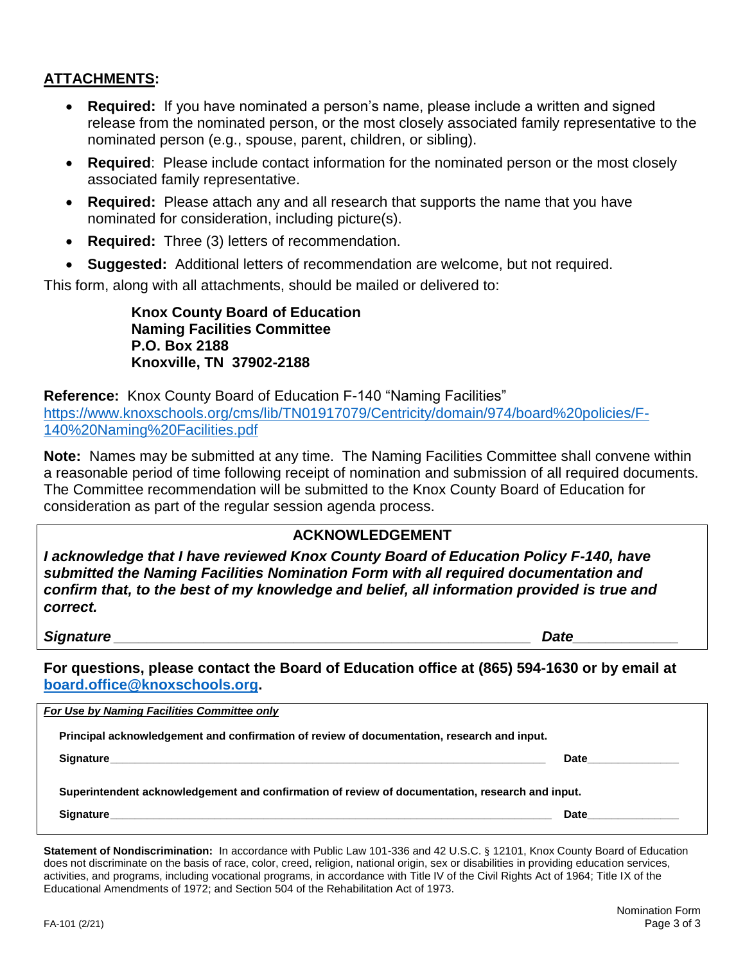## **ATTACHMENTS:**

- **Required:** If you have nominated a person's name, please include a written and signed release from the nominated person, or the most closely associated family representative to the nominated person (e.g., spouse, parent, children, or sibling).
- **Required**: Please include contact information for the nominated person or the most closely associated family representative.
- **Required:** Please attach any and all research that supports the name that you have nominated for consideration, including picture(s).
- **Required:** Three (3) letters of recommendation.
- **Suggested:** Additional letters of recommendation are welcome, but not required.

This form, along with all attachments, should be mailed or delivered to:

**Knox County Board of Education Naming Facilities Committee P.O. Box 2188 Knoxville, TN 37902-2188**

**Reference:** Knox County Board of Education F-140 "Naming Facilities" [https://www.knoxschools.org/cms/lib/TN01917079/Centricity/domain/974/board%20policies/F-](https://www.knoxschools.org/cms/lib/TN01917079/Centricity/domain/974/board%20policies/F-140%20Naming%20Facilities.pdf)[140%20Naming%20Facilities.pdf](https://www.knoxschools.org/cms/lib/TN01917079/Centricity/domain/974/board%20policies/F-140%20Naming%20Facilities.pdf)

**Note:** Names may be submitted at any time. The Naming Facilities Committee shall convene within a reasonable period of time following receipt of nomination and submission of all required documents. The Committee recommendation will be submitted to the Knox County Board of Education for consideration as part of the regular session agenda process.

### **ACKNOWLEDGEMENT**

*I acknowledge that I have reviewed Knox County Board of Education Policy F-140, have submitted the Naming Facilities Nomination Form with all required documentation and confirm that, to the best of my knowledge and belief, all information provided is true and correct.*

#### *Signature \_\_\_\_\_\_\_\_\_\_\_\_\_\_\_\_\_\_\_\_\_\_\_\_\_\_\_\_\_\_\_\_\_\_\_\_\_\_\_\_\_\_\_\_\_\_\_\_\_\_\_ Date\_\_\_\_\_\_\_\_\_\_\_\_\_*

**For questions, please contact the Board of Education office at (865) 594-1630 or by email at [board.office@knoxschools.org.](mailto:board.office@knoxschools.org)**

| For Use by Naming Facilities Committee only                                                     |      |  |  |  |  |
|-------------------------------------------------------------------------------------------------|------|--|--|--|--|
| Principal acknowledgement and confirmation of review of documentation, research and input.      |      |  |  |  |  |
|                                                                                                 | Date |  |  |  |  |
| Superintendent acknowledgement and confirmation of review of documentation, research and input. |      |  |  |  |  |
| <b>Signature</b>                                                                                | Date |  |  |  |  |
|                                                                                                 |      |  |  |  |  |

**Statement of Nondiscrimination:** In accordance with Public Law 101-336 and 42 U.S.C. § 12101, Knox County Board of Education does not discriminate on the basis of race, color, creed, religion, national origin, sex or disabilities in providing education services, activities, and programs, including vocational programs, in accordance with Title IV of the Civil Rights Act of 1964; Title IX of the Educational Amendments of 1972; and Section 504 of the Rehabilitation Act of 1973.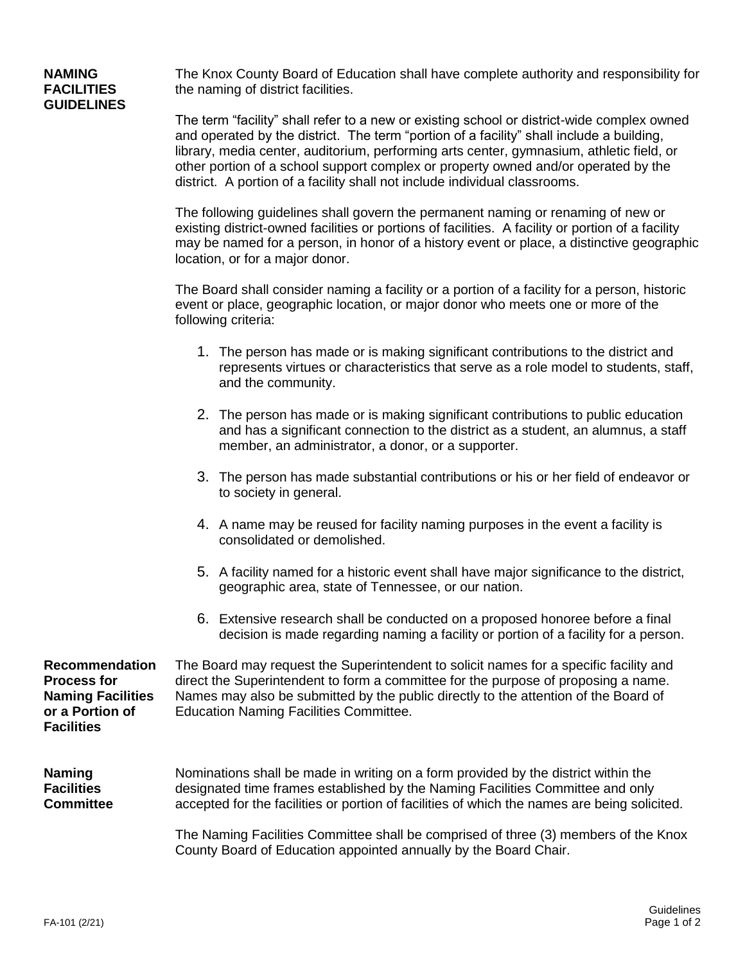# **GUIDELINES**

**NAMING** The Knox County Board of Education shall have complete authority and responsibility for<br> **FACILITIES** the naming of district facilities. the naming of district facilities.

> The term "facility" shall refer to a new or existing school or district-wide complex owned and operated by the district. The term "portion of a facility" shall include a building, library, media center, auditorium, performing arts center, gymnasium, athletic field, or other portion of a school support complex or property owned and/or operated by the district. A portion of a facility shall not include individual classrooms.

The following guidelines shall govern the permanent naming or renaming of new or existing district-owned facilities or portions of facilities. A facility or portion of a facility may be named for a person, in honor of a history event or place, a distinctive geographic location, or for a major donor.

The Board shall consider naming a facility or a portion of a facility for a person, historic event or place, geographic location, or major donor who meets one or more of the following criteria:

- 1. The person has made or is making significant contributions to the district and represents virtues or characteristics that serve as a role model to students, staff, and the community.
- 2. The person has made or is making significant contributions to public education and has a significant connection to the district as a student, an alumnus, a staff member, an administrator, a donor, or a supporter.
- 3. The person has made substantial contributions or his or her field of endeavor or to society in general.
- 4. A name may be reused for facility naming purposes in the event a facility is consolidated or demolished.
- 5. A facility named for a historic event shall have major significance to the district, geographic area, state of Tennessee, or our nation.
- 6. Extensive research shall be conducted on a proposed honoree before a final decision is made regarding naming a facility or portion of a facility for a person.

**Recommendation** The Board may request the Superintendent to solicit names for a specific facility and **Process for** direct the Superintendent to form a committee for the purpose of proposing a name. **Naming Facilities** Names may also be submitted by the public directly to the attention of the Board of or a Portion of Education Naming Facilities Committee. **Education Naming Facilities Committee. Facilities Naming** Nominations shall be made in writing on a form provided by the district within the **Facilities** designated time frames established by the Naming Facilities Committee and only **Committee** accepted for the facilities or portion of facilities of which the names are being solicited.

> The Naming Facilities Committee shall be comprised of three (3) members of the Knox County Board of Education appointed annually by the Board Chair.